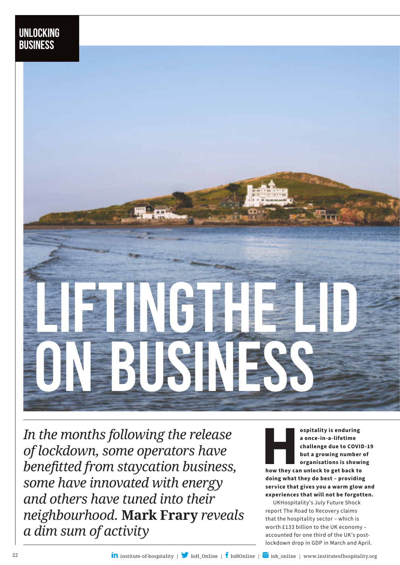

*In the months following the release of lockdown, some operators have benefitted from staycation business, some have innovated with energy and others have tuned into their neighbourhood.* **Mark Frary** *reveals a dim sum of activity*

ospitality is enduring<br>
a once-in-a-lifetime<br>
challenge due to COVI<br>
but a growing number<br>
organisations is show<br>
how they can unlock to get back to<br>
doing what they do best – providing **a once-in-a-lifetime challenge due to COVID-19 but a growing number of organisations is showing** 

**how they can unlock to get back to doing what they do best – providing service that gives you a warm glow and experiences that will not be forgotten.**

UKHospitality's July Future Shock report The Road to Recovery claims that the hospitality sector – which is worth £133 billion to the UK economy – accounted for one third of the UK's postlockdown drop in GDP in March and April.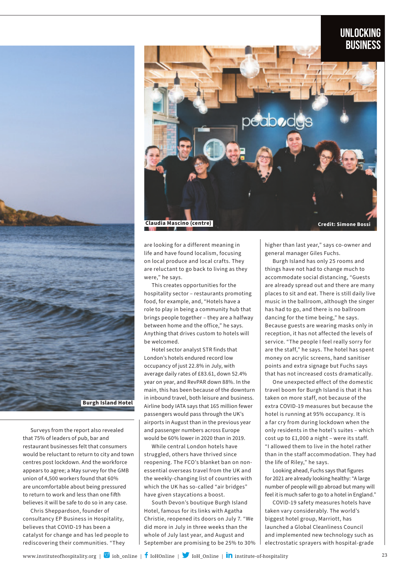## **Unlocking business**



Surveys from the report also revealed that 75% of leaders of pub, bar and restaurant businesses felt that consumers would be reluctant to return to city and town centres post lockdown. And the workforce appears to agree; a May survey for the GMB union of 4,500 workers found that 60% are uncomfortable about being pressured to return to work and less than one fifth believes it will be safe to do so in any case.

Chris Sheppardson, founder of consultancy EP Business in Hospitality, believes that COVID-19 has been a catalyst for change and has led people to rediscovering their communities. "They



are looking for a different meaning in life and have found localism, focusing on local produce and local crafts. They are reluctant to go back to living as they were," he says.

This creates opportunities for the hospitality sector – restaurants promoting food, for example, and, "Hotels have a role to play in being a community hub that brings people together – they are a halfway between home and the office," he says. Anything that drives custom to hotels will be welcomed.

Hotel sector analyst STR finds that London's hotels endured record low occupancy of just 22.8% in July, with average daily rates of £83.61, down 52.4% year on year, and RevPAR down 88%. In the main, this has been because of the downturn in inbound travel, both leisure and business. Airline body IATA says that 165 million fewer passengers would pass through the UK's airports in August than in the previous year and passenger numbers across Europe would be 60% lower in 2020 than in 2019.

While central London hotels have struggled, others have thrived since reopening. The FCO's blanket ban on nonessential overseas travel from the UK and the weekly-changing list of countries with which the UK has so-called "air bridges" have given staycations a boost.

South Devon's boutique Burgh Island Hotel, famous for its links with Agatha Christie, reopened its doors on July 7. "We did more in July in three weeks than the whole of July last year, and August and September are promising to be 25% to 30% higher than last year," says co-owner and general manager Giles Fuchs.

Burgh Island has only 25 rooms and things have not had to change much to accommodate social distancing, "Guests are already spread out and there are many places to sit and eat. There is still daily live music in the ballroom, although the singer has had to go, and there is no ballroom dancing for the time being," he says. Because guests are wearing masks only in reception, it has not affected the levels of service. "The people I feel really sorry for are the staff," he says. The hotel has spent money on acrylic screens, hand sanitiser points and extra signage but Fuchs says that has not increased costs dramatically.

One unexpected effect of the domestic travel boom for Burgh Island is that it has taken on more staff, not because of the extra COVID-19 measures but because the hotel is running at 95% occupancy. It is a far cry from during lockdown when the only residents in the hotel's suites – which cost up to £1,000 a night – were its staff. "I allowed them to live in the hotel rather than in the staff accommodation. They had the life of Riley," he says.

Looking ahead, Fuchs says that figures for 2021 are already looking healthy: "A large number of people will go abroad but many will feel it is much safer to go to a hotel in England."

COVID-19 safety measures hotels have taken vary considerably. The world's biggest hotel group, Marriott, has launched a Global Cleanliness Council and implemented new technology such as electrostatic sprayers with hospital-grade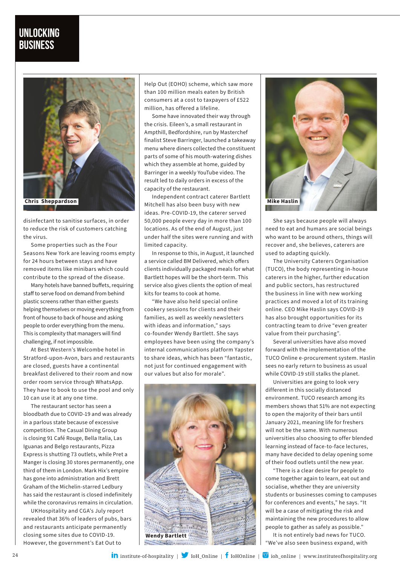

disinfectant to sanitise surfaces, in order to reduce the risk of customers catching the virus.

Some properties such as the Four Seasons New York are leaving rooms empty for 24 hours between stays and have removed items like minibars which could contribute to the spread of the disease.

Many hotels have banned buffets, requiring staff to serve food on demand from behind plastic screens rather than either guests helping themselves or moving everything from front of house to back of house and asking people to order everything from the menu. This is complexity that managers will find challenging, if not impossible.

At Best Western's Welcombe hotel in Stratford-upon-Avon, bars and restaurants are closed, guests have a continental breakfast delivered to their room and now order room service through WhatsApp. They have to book to use the pool and only 10 can use it at any one time.

The restaurant sector has seen a bloodbath due to COVID-19 and was already in a parlous state because of excessive competition. The Casual Dining Group is closing 91 Café Rouge, Bella Italia, Las Iguanas and Belgo restaurants, Pizza Express is shutting 73 outlets, while Pret a Manger is closing 30 stores permanently, one third of them in London. Mark Hix's empire has gone into administration and Brett Graham of the Michelin-starred Ledbury has said the restaurant is closed indefinitely while the coronavirus remains in circulation.

UKHospitality and CGA's July report revealed that 36% of leaders of pubs, bars and restaurants anticipate permanently closing some sites due to COVID-19. However, the government's Eat Out to

Help Out (EOHO) scheme, which saw more than 100 million meals eaten by British consumers at a cost to taxpayers of £522 million, has offered a lifeline.

Some have innovated their way through the crisis. Eileen's, a small restaurant in Ampthill, Bedfordshire, run by Masterchef finalist Steve Barringer, launched a takeaway menu where diners collected the constituent parts of some of his mouth-watering dishes which they assemble at home, guided by Barringer in a weekly YouTube video. The result led to daily orders in excess of the capacity of the restaurant.

Independent contract caterer Bartlett Mitchell has also been busy with new ideas. Pre-COVID-19, the caterer served 50,000 people every day in more than 100 locations. As of the end of August, just under half the sites were running and with limited capacity.

In response to this, in August, it launched a service called BM Delivered, which offers clients individually packaged meals for what Bartlett hopes will be the short-term. This service also gives clients the option of meal kits for teams to cook at home.

"We have also held special online cookery sessions for clients and their families, as well as weekly newsletters with ideas and information," says co-founder Wendy Bartlett. She says employees have been using the company's internal communications platform Yapster to share ideas, which has been "fantastic, not just for continued engagement with our values but also for morale".





She says because people will always need to eat and humans are social beings who want to be around others, things will recover and, she believes, caterers are used to adapting quickly.

The University Caterers Organisation (TUCO), the body representing in-house caterers in the higher, further education and public sectors, has restructured the business in line with new working practices and moved a lot of its training online. CEO Mike Haslin says COVID-19 has also brought opportunities for its contracting team to drive "even greater value from their purchasing".

Several universities have also moved forward with the implementation of the TUCO Online e-procurement system. Haslin sees no early return to business as usual while COVID-19 still stalks the planet.

Universities are going to look very different in this socially distanced environment. TUCO research among its members shows that 51% are not expecting to open the majority of their bars until January 2021, meaning life for freshers will not be the same. With numerous universities also choosing to offer blended learning instead of face-to-face lectures, many have decided to delay opening some of their food outlets until the new year.

"There is a clear desire for people to come together again to learn, eat out and socialise, whether they are university students or businesses coming to campuses for conferences and events," he says. "It will be a case of mitigating the risk and maintaining the new procedures to allow people to gather as safely as possible."

It is not entirely bad news for TUCO. "We've also seen business expand, with